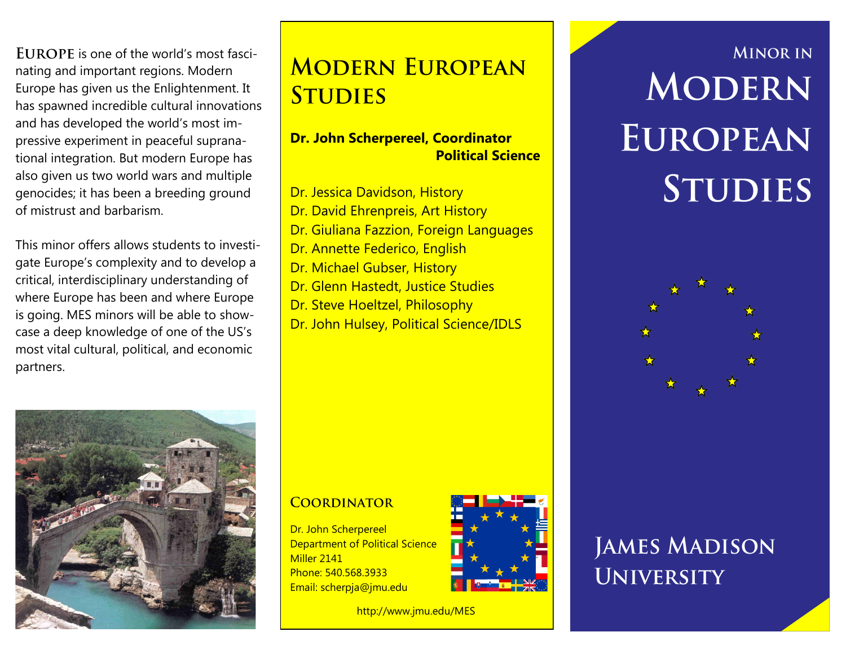$EUPOPE$  is one of the world's most fascinating and important regions. Modern Europe has given us the Enlightenment. It has spawned incredible cultural innovations and has developed the world's most impressive experiment in peaceful supranational integration. But modern Europe has also given us two world wars and multiple genocides; it has been a breeding ground of mistrust and barbarism.

This minor offers allows students to investigate Europe's complexity and to develop a critical, interdisciplinary understanding of where Europe has been and where Europe is going. MES minors will be able to showcase a deep knowledge of one of the US's most vital cultural, political, and economic partners.



### **Dr. John Scherpereel, Coordinator Political Science**

- Dr. Jessica Davidson, History
- Dr. David Ehrenpreis, Art History
- Dr. Giuliana Fazzion, Foreign Languages
- Dr. Annette Federico, English
- Dr. Michael Gubser, History
- Dr. Glenn Hastedt, Justice Studies
- Dr. Steve Hoeltzel, Philosophy
- Dr. John Hulsey, Political Science/IDLS



#### **COORDINATOR**

Dr. John Scherpereel Department of Political Science Miller 2141 Phone: 540.568.3933 Email: scherpja@jmu.edu



http://www.jmu.edu/MES

# **MINOR IN** MODERN **EUROPEAN STUDIES**



## **JAMES MADISON UNIVERSITY**